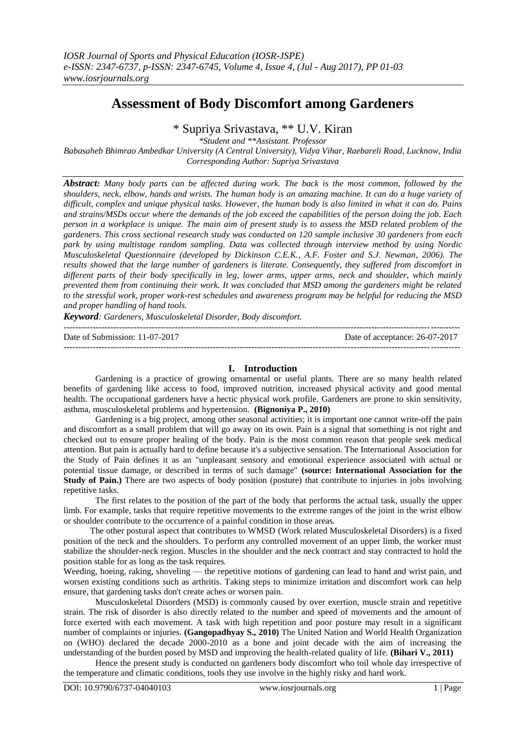# **Assessment of Body Discomfort among Gardeners**

\* Supriya Srivastava, \*\* U.V. Kiran

*\*Student and \*\*Assistant. Professor*

*Babasaheb Bhimrao Ambedkar University (A Central University), Vidya Vihar, Raebareli Road, Lucknow, India Corresponding Author: Supriya Srivastava*

*Abstract: Many body parts can be affected during work. The back is the most common, followed by the shoulders, neck, elbow, hands and wrists. The human body is an amazing machine. It can do a huge variety of difficult, complex and unique physical tasks. However, the human body is also limited in what it can do. Pains and strains/MSDs occur where the demands of the job exceed the capabilities of the person doing the job. Each person in a workplace is unique. The main aim of present study is to assess the MSD related problem of the gardeners. This cross sectional research study was conducted on 120 sample inclusive 30 gardeners from each park by using multistage random sampling. Data was collected through interview method by using Nordic Musculoskeletal Questionnaire (developed by Dickinson C.E.K., A.F. Foster and S.J. Newman, 2006). The results showed that the large number of gardeners is literate. Consequently, they suffered from discomfort in different parts of their body specifically in leg, lower arms, upper arms, neck and shoulder, which mainly prevented them from continuing their work. It was concluded that MSD among the gardeners might be related to the stressful work, proper work-rest schedules and awareness program may be helpful for reducing the MSD and proper handling of hand tools.* 

*Keyword: Gardeners, Musculoskeletal Disorder, Body discomfort.*

| Date of Submission: 11-07-2017 | Date of acceptance: 26-07-2017 |
|--------------------------------|--------------------------------|
|                                |                                |

## **I. Introduction**

Gardening is a practice of growing ornamental or useful plants. There are so many health related benefits of gardening like access to food, improved nutrition, increased physical activity and good mental health. The occupational gardeners have a hectic physical work profile. Gardeners are prone to skin sensitivity, asthma, musculoskeletal problems and hypertension. **(Bignoniya P., 2010)** 

Gardening is a big project, among other seasonal activities; it is important one cannot write-off the pain and discomfort as a small problem that will go away on its own. Pain is a signal that something is not right and checked out to ensure proper healing of the body. Pain is the most common reason that people seek medical attention. But pain is actually hard to define because it's a subjective sensation. The International Association for the Study of Pain defines it as an "unpleasant sensory and emotional experience associated with actual or potential tissue damage, or described in terms of such damage" **(source: [International Association for the](http://www.iasp-pain.org/AM/Template.cfm?Section)  [Study of Pain.](http://www.iasp-pain.org/AM/Template.cfm?Section)** There are two aspects of body position (posture) that contribute to injuries in jobs involving repetitive tasks.

The first relates to the position of the part of the body that performs the actual task, usually the upper limb. For example, tasks that require repetitive movements to the extreme ranges of the joint in the wrist elbow or shoulder contribute to the occurrence of a painful condition in those areas.

 The other postural aspect that contributes to WMSD (Work related Musculoskeletal Disorders) is a fixed position of the neck and the shoulders. To perform any controlled movement of an upper limb, the worker must stabilize the shoulder-neck region. Muscles in the shoulder and the neck contract and stay contracted to hold the position stable for as long as the task requires.

Weeding, hoeing, raking, shoveling — the repetitive motions of gardening can lead to hand and wrist pain, and worsen existing conditions such as arthritis. Taking steps to minimize irritation and discomfort work can help ensure, that gardening tasks don't create aches or worsen pain.

Musculoskeletal Disorders (MSD) is commonly caused by over exertion, muscle strain and repetitive strain. The risk of disorder is also directly related to the number and speed of movements and the amount of force exerted with each movement. A task with high repetition and poor posture may result in a significant number of complaints or injuries. **(Gangopadhyay S., 2010)** The United Nation and World Health Organization on (WHO) declared the decade 2000-2010 as a bone and joint decade with the aim of increasing the understanding of the burden posed by MSD and improving the health-related quality of life. **(Bihari V., 2011)**

Hence the present study is conducted on gardeners body discomfort who toil whole day irrespective of the temperature and climatic conditions, tools they use involve in the highly risky and hard work.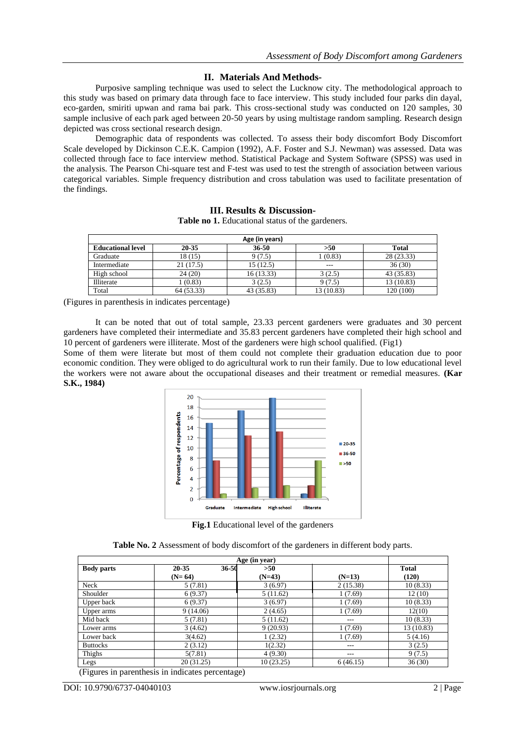### **II. Materials And Methods-**

Purposive sampling technique was used to select the Lucknow city. The methodological approach to this study was based on primary data through face to face interview. This study included four parks din dayal, eco-garden, smiriti upwan and rama bai park. This cross-sectional study was conducted on 120 samples, 30 sample inclusive of each park aged between 20-50 years by using multistage random sampling. Research design depicted was cross sectional research design.

Demographic data of respondents was collected. To assess their body discomfort Body Discomfort Scale developed by Dickinson C.E.K. Campion (1992), A.F. Foster and S.J. Newman) was assessed. Data was collected through face to face interview method. Statistical Package and System Software (SPSS) was used in the analysis. The Pearson Chi-square test and F-test was used to test the strength of association between various categorical variables. Simple frequency distribution and cross tabulation was used to facilitate presentation of the findings.

| Age (in years)           |            |            |            |              |  |
|--------------------------|------------|------------|------------|--------------|--|
| <b>Educational level</b> | 20-35      | $36 - 50$  | >50        | <b>Total</b> |  |
| Graduate                 | 18 (15)    | 9(7.5)     | 1(0.83)    | 28 (23.33)   |  |
| Intermediate             | 21(17.5)   | 15(12.5)   | ---        | 36(30)       |  |
| High school              | 24(20)     | 16 (13.33) | 3(2.5)     | 43 (35.83)   |  |
| Illiterate               | 1(0.83)    | 3(2.5)     | 9(7.5)     | 13 (10.83)   |  |
| Total                    | 64 (53.33) | 43 (35.83) | 13 (10.83) | 120 (100)    |  |

**III. Results & Discussion-**Table no 1. Educational status of the gardeners.

(Figures in parenthesis in indicates percentage)

It can be noted that out of total sample, 23.33 percent gardeners were graduates and 30 percent gardeners have completed their intermediate and 35.83 percent gardeners have completed their high school and 10 percent of gardeners were illiterate. Most of the gardeners were high school qualified. (Fig1)

Some of them were literate but most of them could not complete their graduation education due to poor economic condition. They were obliged to do agricultural work to run their family. Due to low educational level the workers were not aware about the occupational diseases and their treatment or remedial measures. **(Kar S.K., 1984)**



**Fig.1** Educational level of the gardeners

|  |  | Table No. 2 Assessment of body discomfort of the gardeners in different body parts. |
|--|--|-------------------------------------------------------------------------------------|
|  |  |                                                                                     |

| Age (in year)     |                    |           |          |              |
|-------------------|--------------------|-----------|----------|--------------|
| <b>Body parts</b> | 36-50<br>$20 - 35$ | >50       |          | <b>Total</b> |
|                   | $(N=64)$           | $(N=43)$  | $(N=13)$ | (120)        |
| Neck              | 5(7.81)            | 3(6.97)   | 2(15.38) | 10(8.33)     |
| Shoulder          | 6(9.37)            | 5(11.62)  | 1(7.69)  | 12(10)       |
| Upper back        | 6(9.37)            | 3(6.97)   | 1(7.69)  | 10(8.33)     |
| Upper arms        | 9(14.06)           | 2(4.65)   | 1(7.69)  | 12(10)       |
| Mid back          | 5(7.81)            | 5(11.62)  | ---      | 10(8.33)     |
| Lower arms        | 3(4.62)            | 9(20.93)  | 1(7.69)  | 13 (10.83)   |
| Lower back        | 3(4.62)            | 1(2.32)   | 1(7.69)  | 5(4.16)      |
| <b>Buttocks</b>   | 2(3.12)            | 1(2.32)   | ---      | 3(2.5)       |
| Thighs            | 5(7.81)            | 4(9.30)   | $---$    | 9(7.5)       |
| Legs              | 20(31.25)          | 10(23.25) | 6(46.15) | 36(30)       |

(Figures in parenthesis in indicates percentage)